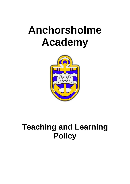# **Anchorsholme Academy**



# **Teaching and Learning Policy**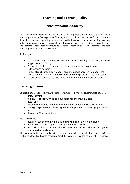# **Teaching and Learning Policy**

# **Anchorsholme Academy**

At Anchorsholme Academy, we believe that learning should be a lifelong process and a rewarding and enjoyable experience for everyone. Through our teaching we focus on inspiring the children to learn, equipping them with the skills, knowledge and understanding necessary to be autonomous learners who reach their full potential. We believe that appropriate teaching and learning experiences contribute to children becoming successful learners, who lead rewarding lives as responsible citizens.

## **Principles**

- To develop a community of learners where learning is valued, enjoyed, supportive and lifelong
- To enable children to become confident, resourceful, enquiring and independent learners
- To develop children's self-respect and encourage children to respect the ideas, attitudes, values and feelings of others regardless of race and culture
- To encourage children to take pride in their work and the work of others

# **Learning Culture**

To enable children to learn well, the school will work to develop a culture where children:

- enjoy learning
- feel safe respect, value and support each other as learners
- take risks
- recognise mistakes and errors as a learning opportunity and persevere
- set high expectations learning behaviour, progress in learning, presentation etc
- develop a 'Can do' attitude

and where adults:

- establish positive working relationships with all children in the class
- model learning and expected behaviour for the children
- treat all children fairly and with kindness and respect with encouragement, praise and rewards for all

This learning culture needs to be actively taught and quickly established (in September), then further developed and reinforced, throughout the year, involving the children at every stage.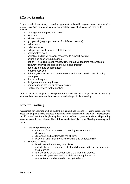# **Effective Learning**

People learn in different ways. Learning opportunities should incorporate a range of strategies in order to engage children in learning and meet the needs of all learners. These could include:

- investigation and problem solving
- research
- whole-class work
- group work (in groups selected for different reasons)
- paired work
- individual work
- independent work, which is child directed
- collaborative work
- selecting and using relevant resources to support learning
- asking and answering questions
- use of IT including visual images, film, interactive teaching resources etc
- fieldwork and visits to places of educational interest
- guest visitors and performances
- creative activities
- debates, discussions, oral presentations and other speaking and listening strategies
- drama techniques
- designing and making things
- participation in athletic or physical activity
- Setting challenges for themselves

Children should be taught to take responsibility for their own learning; to review the way they learn and how they learn and how to overcome challenges in their learning.

# **Effective Teaching**

Assessment for Learning will be evident in planning and lessons to ensure lessons are well paced and all pupils make progress in learning. Prior assessment of the pupils' understanding should be used to inform the planning lessons with a clear progression in skills. **All planning must be saved in the relevant Class folder on the Staff Drive on Monday morning each week.**

#### **Learning Objectives**

- o clear and focused based on learning rather than task
- o displayed
- o discussed and explained to the children
- o based on prior attainment, knowledge and understanding

#### **Success Criteria**

- o break down the learning take place
- o include the steps or 'ingredients' the children need to be successful in their learning
- $\circ$  are identified by the teacher during the planning process
- o are usually generated with the children during the lesson
- o are written up and referred to during the lesson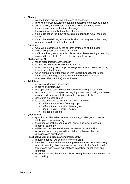- **Plenary**
	- o planned times during, and at the end of, the lesson
	- o reviews progress towards the learning objective and success criteria
	- o allows adults, and children, to address misconceptions, make improvements and add further challenge
	- o learning may be applied to different contexts
	- o time to reflect on the 'how' of learning in addition to 'what' has been learnt
	- $\circ$  should be used during lessons only when the progress of the class, group or individuals will be furthered
- **Outcome** 
	- o what will be achieved by the children by the end of the lesson
	- o the learning activity/evidence of learning
	- $\circ$  sufficient time given to enable children to achieve meaningful learning
	- o matched to the children's next steps in their learning
- **Challenge for All**
	- o takes place throughout the lesson
	- o is matched to children's next steps learning
	- o may occur through adult support; range and level of resources; time; task; different outcomes
	- o when planning work for children with Special Educational Needs information and targets contained in the children's Individual Education Plans (I.E.P.s) are addressed

#### **Adult Input**

- o engages children in the learning
- o is active and interactive
- o has appropriate pace to ensure maximum learning takes place
- o responds to, and is adapted to, ongoing assessment during the lesson
- o clearly models successful learning/the learning activity
- o generates success criteria
- o is flexible according to the learning taking place eg.
	- **different inputs for different groups**
	- different start times for different groups
	- input activity input activity
	- quided groups etc
- **Questioning**
	- o questions will be asked to assess learning, challenge and deepen thinking and understanding
	- o the range will include open/closed; higher and lower order (eg. Bloom's Taxonomy)
	- o will be matched to the children's understanding and ability
	- $\circ$  opportunities will be planned for children to develop their own questions and questioning

#### **Feedback & Marking (See marking Policy 2017)**

- o regular feedback will be given to the children
- o identifies success and areas for improvement/next steps in learning
- o refers to learning objectives, success criteria, children's individual targets and age related expectations in spelling, punctuation and grammar
- o opportunities are planned for children to regularly respond to feedback and marking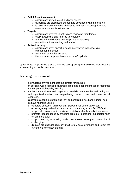#### **Self & Peer Assessment**

- o children are trained to self and peer assess
- $\circ$  quidelines are discussed, agreed and developed with the children
- o is used regularly to enable children to address misconceptions and make improvements to their work

#### **Targets**

- o children are involved in setting and reviewing their targets
- o easily accessible and referred to regularly
- o are related to children's next steps in their learning
- o are set for writing, reading and maths

#### **Active Learning**

- $\circ$  children are given opportunities to be involved in the learning throughout the lesson
- o a range of strategies are used
- o there is an appropriate balance of adult/pupil talk

Opportunities are planned to enable children to develop and apply their skills, knowledge and understanding across the curriculum.

## **Learning Environment**

- a stimulating environment sets the climate for learning.
- an exciting, well-organised classroom promotes independent use of resources and supports high quality learning.
- teachers and children work together to establish an attractive welcoming and well organised environment engendering respect, care and value for all resources.
- classrooms should be bright and tidy, and should be word and number rich.
- displays might be used to:
	- o celebrate success achievement, Star/Learner of the Day/Week
	- $\circ$  encourage a growth mind-set approach to learning best fail, EBI's etc
	- $\circ$  support class organisation visual timetables, clearly labelled resources
	- $\circ$  promote Independence by providing prompts questions, support for when children are stuck
	- $\circ$  support learning working walls, presentation examples, interactive & challenging
	- $\circ$  displays are changed regularly (half termly as a minimum) and reflect the current topic/themes/ learning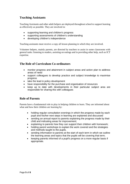# **Teaching Assistants**

Teaching Assistants and other adult helpers are deployed throughout school to support learning as effectively as possible. They are involved in:

- supporting learning and children's progress
- supporting assessments of children's understanding
- developing children's independence

Teaching assistants must receive a copy all lesson planning in which they are involved.

Volunteer helpers, mainly parents, are directed by teachers to assist in some classrooms with general tasks: listening to readers, assisting on outings and in providing other help, such as ICT expertise.

# **The Role of Curriculum Co-ordinators**

- monitor progress and attainment in subject areas and action plan to address areas of need
- support colleagues to develop practice and subject knowledge to maximise progress
- take the lead in policy development
- have responsibility for the purchase and organisation of resources
- keep up to date with developments in their particular subject area are responsible for sharing this with colleagues

# **Role of Parents**

Parents have a fundamental role to play in helping children to learn. They are informed about what and how their children are learning by:

- holding regular consultation evenings in which the progress made by each pupil and his/her next steps in learning are explained and discussed
- sending an annual report to parents explaining the progress made by their child and indicating areas for improvement;
- explaining to parents how they can support their children with homework;
- holding parent workshops to explain the work covered and the strategies and methods taught to the pupils.
- sending information to parents at the start of each term in which we outline the learning areas and topics that the pupils will be covering that term;
- keeping parents informed of a pupil's progress on a more regular basis if appropriate.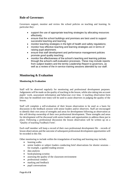# **Role of Governors**

Governors support, monitor and review the school policies on teaching and learning. In particular they:

- support the use of appropriate teaching strategies by allocating resources effectively;
- ensure that the school buildings and premises are best used to support successful teaching and learning;
- monitor teaching strategies in the light of health and safety regulations;
- monitor how effective teaching and learning strategies are in terms of raising pupil attainment;
- ensure that staff development and performance management policies promote good quality teaching;
- monitor the effectiveness of the school's teaching and learning policies through the school's self-evaluation processes. These may include reports from subject leaders and the termly Leadership Report to governors, as well as a review of the in-service training sessions attended by our staff.

# **Monitoring & Evaluation**

#### **Monitoring & Evaluation**

Staff will be observed regularly for monitoring and professional development purposes. Judgements will be made on the quality of teaching in the lesson, whilst also taking into account pupils' work, assessment information and behaviour over time. A teaching observation form (this may be modified over time) will be used to assist observers in judging the quality of the lesson.

Staff will complete a self-evaluation of their lesson observation to be used as a basis for discussion in the feedback session with senior leaders and/or observers. Staff are encouraged to identify their own areas of strengths and areas for development following an observation as this will develop ownership of their own professional development. These strengths and areas for development will be discussed with senior leaders and opportunities to address these put in place. Following a professional discussion the lesson observation will be written up on a 'Quality of teaching Feedback Form'.

Each staff member will keep a record of their own professional development file – records of lesson observations and the outcome of subsequent professional development opportunities will be recorded in this file.

Other monitoring to include within the triangulation of teaching and learning may include;

- learning walks
- senior leaders or subject leaders conducting brief observations for shorter sessions for example, a guided reading session
- data analysis
- book/planning scrutiny
- assessing the quality of the classroom environment
- professional conduct
- marking and feedback
- pupil conversations